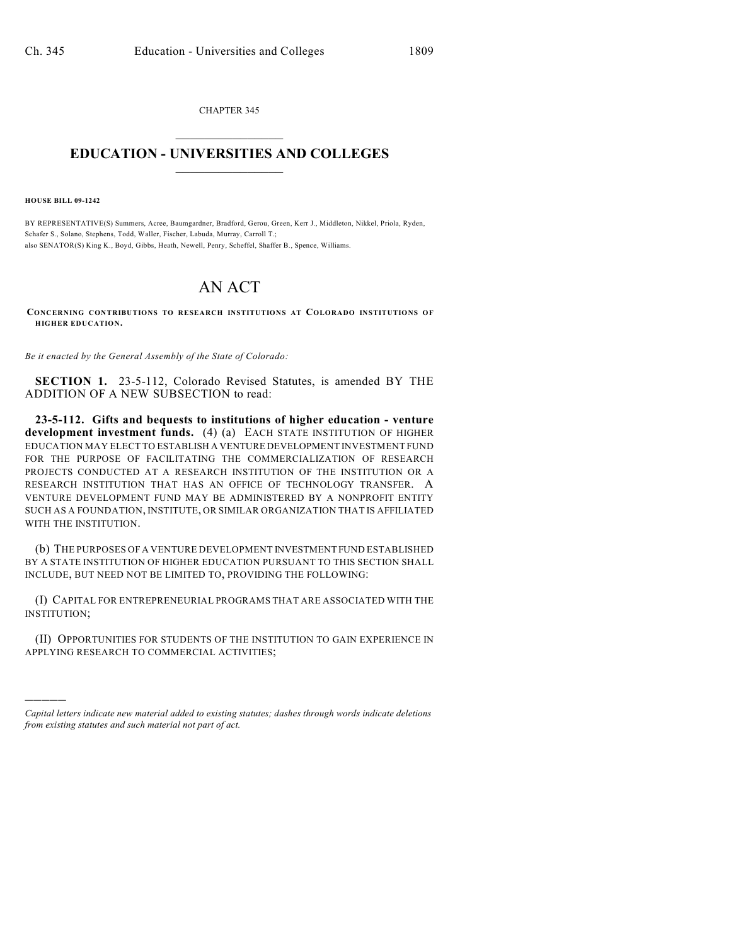CHAPTER 345  $\overline{\phantom{a}}$  . The set of the set of the set of the set of the set of the set of the set of the set of the set of the set of the set of the set of the set of the set of the set of the set of the set of the set of the set o

## **EDUCATION - UNIVERSITIES AND COLLEGES**  $\_$

**HOUSE BILL 09-1242**

)))))

BY REPRESENTATIVE(S) Summers, Acree, Baumgardner, Bradford, Gerou, Green, Kerr J., Middleton, Nikkel, Priola, Ryden, Schafer S., Solano, Stephens, Todd, Waller, Fischer, Labuda, Murray, Carroll T.; also SENATOR(S) King K., Boyd, Gibbs, Heath, Newell, Penry, Scheffel, Shaffer B., Spence, Williams.

## AN ACT

**CONCERNING CONTRIBUTIONS TO RESEARCH INSTITUTIONS AT COLORADO INSTITUTIONS OF HIGHER EDUCATION.**

*Be it enacted by the General Assembly of the State of Colorado:*

**SECTION 1.** 23-5-112, Colorado Revised Statutes, is amended BY THE ADDITION OF A NEW SUBSECTION to read:

**23-5-112. Gifts and bequests to institutions of higher education - venture development investment funds.** (4) (a) EACH STATE INSTITUTION OF HIGHER EDUCATION MAY ELECT TO ESTABLISH A VENTURE DEVELOPMENT INVESTMENT FUND FOR THE PURPOSE OF FACILITATING THE COMMERCIALIZATION OF RESEARCH PROJECTS CONDUCTED AT A RESEARCH INSTITUTION OF THE INSTITUTION OR A RESEARCH INSTITUTION THAT HAS AN OFFICE OF TECHNOLOGY TRANSFER. A VENTURE DEVELOPMENT FUND MAY BE ADMINISTERED BY A NONPROFIT ENTITY SUCH AS A FOUNDATION, INSTITUTE, OR SIMILAR ORGANIZATION THAT IS AFFILIATED WITH THE INSTITUTION.

(b) THE PURPOSES OF A VENTURE DEVELOPMENT INVESTMENT FUND ESTABLISHED BY A STATE INSTITUTION OF HIGHER EDUCATION PURSUANT TO THIS SECTION SHALL INCLUDE, BUT NEED NOT BE LIMITED TO, PROVIDING THE FOLLOWING:

(I) CAPITAL FOR ENTREPRENEURIAL PROGRAMS THAT ARE ASSOCIATED WITH THE INSTITUTION;

(II) OPPORTUNITIES FOR STUDENTS OF THE INSTITUTION TO GAIN EXPERIENCE IN APPLYING RESEARCH TO COMMERCIAL ACTIVITIES;

*Capital letters indicate new material added to existing statutes; dashes through words indicate deletions from existing statutes and such material not part of act.*